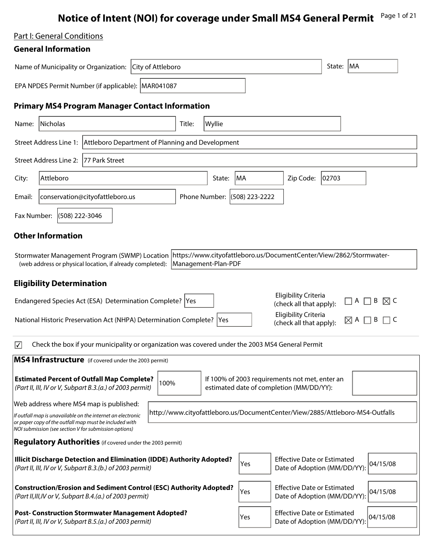# Part I: General Conditions

### **General Information**

|                         |                                  | Name of Municipality or Organization: City of Attleboro                                                                                                                        |      |               |        |                  |                                                                                                                  | State: MA |                                                   |                           |
|-------------------------|----------------------------------|--------------------------------------------------------------------------------------------------------------------------------------------------------------------------------|------|---------------|--------|------------------|------------------------------------------------------------------------------------------------------------------|-----------|---------------------------------------------------|---------------------------|
|                         |                                  | EPA NPDES Permit Number (if applicable): MAR041087                                                                                                                             |      |               |        |                  |                                                                                                                  |           |                                                   |                           |
|                         |                                  | <b>Primary MS4 Program Manager Contact Information</b>                                                                                                                         |      |               |        |                  |                                                                                                                  |           |                                                   |                           |
| Name:                   | Nicholas                         |                                                                                                                                                                                |      | Title:        | Wyllie |                  |                                                                                                                  |           |                                                   |                           |
|                         |                                  | Street Address Line 1: Attleboro Department of Planning and Development                                                                                                        |      |               |        |                  |                                                                                                                  |           |                                                   |                           |
|                         | Street Address Line 2:           | 77 Park Street                                                                                                                                                                 |      |               |        |                  |                                                                                                                  |           |                                                   |                           |
| City:                   | Attleboro                        |                                                                                                                                                                                |      |               | State: | MA               | Zip Code:                                                                                                        | 02703     |                                                   |                           |
| Email:                  |                                  | conservation@cityofattleboro.us                                                                                                                                                |      | Phone Number: |        | $(508)$ 223-2222 |                                                                                                                  |           |                                                   |                           |
| Fax Number:             |                                  | (508) 222-3046                                                                                                                                                                 |      |               |        |                  |                                                                                                                  |           |                                                   |                           |
|                         | <b>Other Information</b>         |                                                                                                                                                                                |      |               |        |                  |                                                                                                                  |           |                                                   |                           |
|                         | <b>Eligibility Determination</b> | Endangered Species Act (ESA) Determination Complete?   Yes<br>National Historic Preservation Act (NHPA) Determination Complete?   Yes                                          |      |               |        |                  | <b>Eligibility Criteria</b><br>(check all that apply):<br><b>Eligibility Criteria</b><br>(check all that apply): |           | B<br>$\Box$ A $\Box$<br>B<br>$\boxtimes$ A $\Box$ | $\boxtimes$ C<br>$\Box$ C |
| $\overline{\checkmark}$ |                                  | Check the box if your municipality or organization was covered under the 2003 MS4 General Permit                                                                               |      |               |        |                  |                                                                                                                  |           |                                                   |                           |
|                         |                                  | MS4 Infrastructure (if covered under the 2003 permit)                                                                                                                          |      |               |        |                  |                                                                                                                  |           |                                                   |                           |
|                         |                                  | <b>Estimated Percent of Outfall Map Complete?</b><br>(Part II, III, IV or V, Subpart B.3.(a.) of 2003 permit)                                                                  | 100% |               |        |                  | If 100% of 2003 requirements not met, enter an<br>estimated date of completion (MM/DD/YY):                       |           |                                                   |                           |
|                         |                                  | Web address where MS4 map is published:                                                                                                                                        |      |               |        |                  |                                                                                                                  |           |                                                   |                           |
|                         |                                  | If outfall map is unavailable on the internet an electronic<br>or paper copy of the outfall map must be included with<br>NOI submission (see section V for submission options) |      |               |        |                  | http://www.cityofattleboro.us/DocumentCenter/View/2885/Attleboro-MS4-Outfalls                                    |           |                                                   |                           |
|                         |                                  | <b>Regulatory Authorities</b> (if covered under the 2003 permit)                                                                                                               |      |               |        |                  |                                                                                                                  |           |                                                   |                           |
|                         |                                  | Illicit Discharge Detection and Elimination (IDDE) Authority Adopted?<br>(Part II, III, IV or V, Subpart B.3.(b.) of 2003 permit)                                              |      |               |        | Yes              | <b>Effective Date or Estimated</b><br>Date of Adoption (MM/DD/YY):                                               |           | 04/15/08                                          |                           |
|                         |                                  | <b>Construction/Erosion and Sediment Control (ESC) Authority Adopted?</b><br>(Part II, III, IV or V, Subpart B.4.(a.) of 2003 permit)                                          |      |               |        | Yes              | <b>Effective Date or Estimated</b><br>Date of Adoption (MM/DD/YY):                                               |           | 04/15/08                                          |                           |

**Post- Construction Stormwater Management Adopted?** 
<br> *(Part II, III, IV or V, Subpart B.5.(a.) of 2003 permit)* **Part II, III, IV or V, Subpart B.5.(a.) of 2003 permit)** 

Effective Date or Estimated<br>Date of Adoption (MM/DD/YY): 04/15/08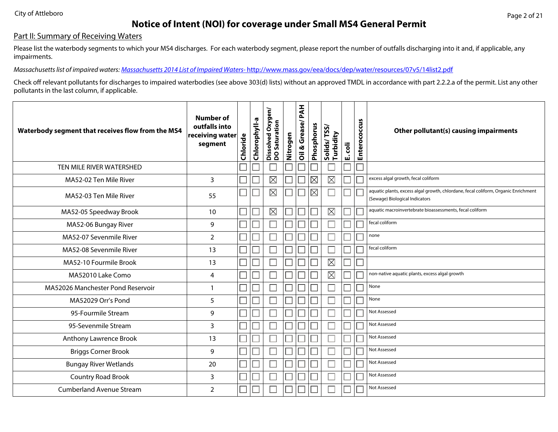### Page 2 of 21 City of Attleboro **Notice of Intent (NOI) for coverage under Small MS4 General Permit**

#### Part II: Summary of Receiving Waters

Please list the waterbody segments to which your MS4 discharges. For each waterbody segment, please report the number of outfalls discharging into it and, if applicable, any impairments.

*Massachusetts list of impaired waters: Massachusetts 2014 List of Impaired Waters-* http://www.mass.gov/eea/docs/dep/water/resources/07v5/14list2.pdf

Check off relevant pollutants for discharges to impaired waterbodies (see above 303(d) lists) without an approved TMDL in accordance with part 2.2.2.a of the permit. List any other pollutants in the last column, if applicable.

| Waterbody segment that receives flow from the MS4 | Number of<br>outfalls into<br>receiving water<br>segment | Chloride | Chlorophyll-a | Dissolved Oxygen/<br>DO Saturation | Nitrogen | PAH<br>Grease/<br>Oil & | Phosphorus  | Solids/TSS/<br>Turbidity | E. coli | Enterococcus | Other pollutant(s) causing impairments                                                                               |
|---------------------------------------------------|----------------------------------------------------------|----------|---------------|------------------------------------|----------|-------------------------|-------------|--------------------------|---------|--------------|----------------------------------------------------------------------------------------------------------------------|
| TEN MILE RIVER WATERSHED                          |                                                          |          |               |                                    |          |                         |             |                          |         |              |                                                                                                                      |
| MA52-02 Ten Mile River                            | 3                                                        | П        | Ξ             | $\boxtimes$                        |          |                         | $\boxtimes$ | $\boxtimes$              |         |              | excess algal growth, fecal coliform                                                                                  |
| MA52-03 Ten Mile River                            | 55                                                       | $\Box$   |               | $\boxtimes$                        |          |                         | $\boxtimes$ |                          |         |              | aquatic plants, excess algal growth, chlordane, fecal coliform, Organic Enrichment<br>(Sewage) Biological Indicators |
| MA52-05 Speedway Brook                            | 10                                                       |          |               | $\boxtimes$                        |          |                         |             | $\boxtimes$              |         |              | aquatic macroinvertebrate bioassessments, fecal coliform                                                             |
| MA52-06 Bungay River                              | 9                                                        |          |               |                                    |          |                         |             |                          |         |              | fecal coliform                                                                                                       |
| MA52-07 Sevenmile River                           | $\overline{2}$                                           |          |               |                                    |          |                         |             |                          |         |              | none                                                                                                                 |
| MA52-08 Sevenmile River                           | 13                                                       |          |               |                                    |          |                         |             |                          |         |              | fecal coliform                                                                                                       |
| MA52-10 Fourmile Brook                            | 13                                                       | $\Box$   | $\Box$        | Γ                                  |          |                         |             | $\boxtimes$              |         |              |                                                                                                                      |
| MA52010 Lake Como                                 | 4                                                        |          |               |                                    |          |                         |             | $\boxtimes$              |         |              | non-native aquatic plants, excess algal growth                                                                       |
| MA52026 Manchester Pond Reservoir                 | 1                                                        |          |               | Γ                                  |          |                         |             |                          |         |              | None                                                                                                                 |
| MA52029 Orr's Pond                                | 5                                                        |          |               | π                                  |          |                         |             |                          |         |              | None                                                                                                                 |
| 95-Fourmile Stream                                | 9                                                        |          |               |                                    |          |                         |             |                          |         |              | Not Assessed                                                                                                         |
| 95-Sevenmile Stream                               | 3                                                        |          |               | Γ                                  |          |                         |             |                          |         |              | Not Assessed                                                                                                         |
| Anthony Lawrence Brook                            | 13                                                       |          |               |                                    |          |                         |             |                          |         |              | Not Assessed                                                                                                         |
| <b>Briggs Corner Brook</b>                        | 9                                                        |          |               | Г                                  |          |                         |             |                          |         |              | Not Assessed                                                                                                         |
| <b>Bungay River Wetlands</b>                      | 20                                                       |          |               |                                    |          |                         |             |                          |         |              | Not Assessed                                                                                                         |
| Country Road Brook                                | 3                                                        |          | $\Box$        | $\Box$                             |          |                         |             |                          |         |              | Not Assessed                                                                                                         |
| <b>Cumberland Avenue Stream</b>                   | $\overline{2}$                                           |          |               |                                    |          |                         |             |                          |         |              | Not Assessed                                                                                                         |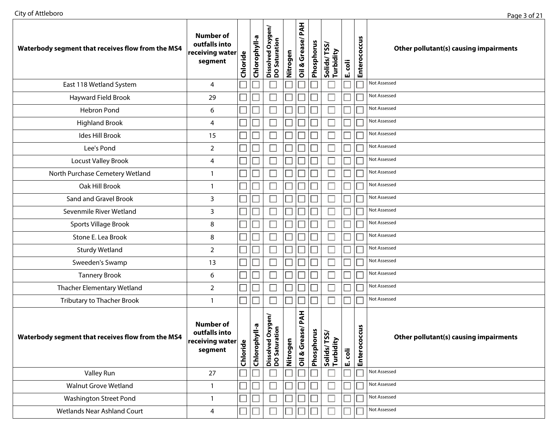| City of Attleboro                                 |                                                                 |          |                          |                                        |          |                      |            |                          |         |              | Page 3 of 21                           |
|---------------------------------------------------|-----------------------------------------------------------------|----------|--------------------------|----------------------------------------|----------|----------------------|------------|--------------------------|---------|--------------|----------------------------------------|
| Waterbody segment that receives flow from the MS4 | <b>Number of</b><br>outfalls into<br>receiving water<br>segment | Chloride | Chlorophyll-a            | Dissolved Oxygen/<br>DO Saturation     | Nitrogen | PAH<br>Oil & Grease/ | Phosphorus | Solids/TSS/<br>Turbidity | E. coli | Enterococcus | Other pollutant(s) causing impairments |
| East 118 Wetland System                           | 4                                                               |          |                          |                                        |          |                      |            |                          |         |              | Not Assessed                           |
| Hayward Field Brook                               | 29                                                              |          |                          |                                        |          |                      |            |                          |         |              | Not Assessed                           |
| <b>Hebron Pond</b>                                | 6                                                               |          |                          |                                        |          |                      |            |                          |         |              | Not Assessed                           |
| <b>Highland Brook</b>                             | 4                                                               |          |                          |                                        |          |                      |            |                          |         |              | Not Assessed                           |
| Ides Hill Brook                                   | 15                                                              |          |                          |                                        |          |                      |            |                          |         |              | Not Assessed                           |
| Lee's Pond                                        | $\overline{2}$                                                  |          |                          |                                        |          |                      |            |                          |         |              | Not Assessed                           |
| Locust Valley Brook                               | 4                                                               |          |                          |                                        |          |                      |            |                          |         |              | Not Assessed                           |
| North Purchase Cemetery Wetland                   | $\mathbf{1}$                                                    |          |                          |                                        |          |                      |            |                          |         |              | Not Assessed                           |
| Oak Hill Brook                                    | $\mathbf{1}$                                                    |          |                          |                                        |          |                      |            |                          |         |              | Not Assessed                           |
| Sand and Gravel Brook                             | $\mathbf{3}$                                                    |          |                          |                                        |          |                      |            |                          |         |              | Not Assessed                           |
| Sevenmile River Wetland                           | $\mathbf{3}$                                                    |          |                          |                                        |          |                      |            |                          |         |              | Not Assessed                           |
| Sports Village Brook                              | 8                                                               |          |                          |                                        |          |                      |            |                          |         |              | Not Assessed                           |
| Stone E. Lea Brook                                | 8                                                               |          |                          |                                        |          |                      |            |                          |         |              | Not Assessed                           |
| <b>Sturdy Wetland</b>                             | $\overline{2}$                                                  |          |                          |                                        |          |                      |            |                          |         |              | Not Assessed                           |
| Sweeden's Swamp                                   | 13                                                              |          |                          |                                        |          |                      |            |                          |         |              | Not Assessed                           |
| <b>Tannery Brook</b>                              | 6                                                               |          |                          |                                        |          |                      |            |                          |         |              | Not Assessed                           |
| Thacher Elementary Wetland                        | $\overline{2}$                                                  |          |                          |                                        |          |                      |            |                          |         |              | Not Assessed                           |
| <b>Tributary to Thacher Brook</b>                 | $\mathbf{1}$                                                    |          |                          |                                        | Г        |                      |            |                          |         |              | Not Assessed                           |
| Waterbody segment that receives flow from the MS4 | <b>Number of</b><br>outfalls into<br>receiving water<br>segment | Chloride | <b>G</b><br>Chlorophyll- | nagi<br>Dissolved Oxy<br>DO Saturation | Nitrogen | PAH<br>Oil & Grease  | Phosphorus | Solids/TSS/<br>Turbidity | ē<br>шÌ | Enterococcus | Other pollutant(s) causing impairments |
| Valley Run                                        | 27                                                              |          |                          |                                        |          |                      |            |                          |         |              | Not Assessed                           |
| <b>Walnut Grove Wetland</b>                       | $\mathbf{1}$                                                    |          |                          |                                        |          |                      |            |                          |         |              | Not Assessed                           |
| <b>Washington Street Pond</b>                     | $\mathbf{1}$                                                    |          |                          |                                        |          |                      |            |                          |         |              | Not Assessed                           |
| <b>Wetlands Near Ashland Court</b>                | $\overline{4}$                                                  |          |                          |                                        |          |                      |            |                          |         |              | Not Assessed                           |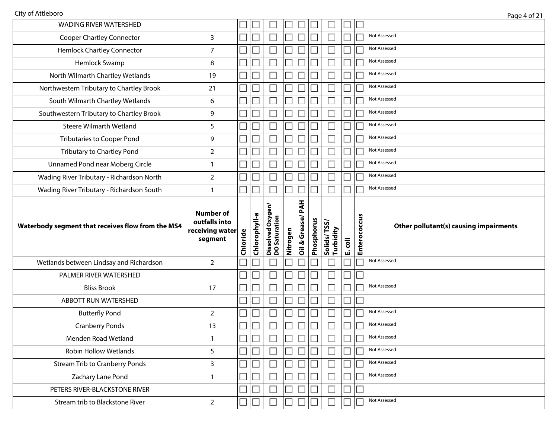| City of Attleboro                                 |                                                                 |          |               |                                    |          |                   |            |             |         |              | Page 4 of 21                           |
|---------------------------------------------------|-----------------------------------------------------------------|----------|---------------|------------------------------------|----------|-------------------|------------|-------------|---------|--------------|----------------------------------------|
| WADING RIVER WATERSHED                            |                                                                 |          |               |                                    |          |                   |            |             |         |              |                                        |
| <b>Cooper Chartley Connector</b>                  | 3                                                               |          |               |                                    |          |                   |            | Г           |         | ┍            | Not Assessed                           |
| <b>Hemlock Chartley Connector</b>                 | $\overline{7}$                                                  |          |               |                                    |          |                   |            |             |         |              | Not Assessed                           |
| Hemlock Swamp                                     | 8                                                               |          |               |                                    |          |                   |            |             |         |              | Not Assessed                           |
| North Wilmarth Chartley Wetlands                  | 19                                                              |          |               |                                    |          |                   |            |             |         |              | Not Assessed                           |
| Northwestern Tributary to Chartley Brook          | 21                                                              |          |               |                                    |          |                   |            |             |         |              | Not Assessed                           |
| South Wilmarth Chartley Wetlands                  | 6                                                               |          |               |                                    |          |                   |            |             |         |              | Not Assessed                           |
| Southwestern Tributary to Chartley Brook          | 9                                                               |          |               |                                    |          |                   |            |             |         |              | Not Assessed                           |
| <b>Steere Wilmarth Wetland</b>                    | 5                                                               |          |               |                                    |          |                   |            |             |         |              | Not Assessed                           |
| <b>Tributaries to Cooper Pond</b>                 | 9                                                               |          |               |                                    |          |                   |            | Г           |         |              | Not Assessed                           |
| Tributary to Chartley Pond                        | $\overline{2}$                                                  |          |               |                                    |          |                   |            |             |         |              | Not Assessed                           |
| Unnamed Pond near Moberg Circle                   | $\mathbf{1}$                                                    |          |               |                                    |          |                   |            | Г           |         |              | Not Assessed                           |
| Wading River Tributary - Richardson North         | $\overline{2}$                                                  |          |               |                                    |          |                   |            |             |         |              | Not Assessed                           |
| Wading River Tributary - Richardson South         | 1                                                               |          |               |                                    |          |                   |            | Г           |         |              | Not Assessed                           |
|                                                   |                                                                 |          |               |                                    |          |                   |            |             |         |              |                                        |
| Waterbody segment that receives flow from the MS4 | <b>Number of</b><br>outfalls into<br>receiving water<br>segment | Chloride | Chlorophyll-a | Dissolved Oxygen/<br>DO Saturation | Nitrogen | Oil & Grease/ PAH | Phosphorus | Solids/TSS/ |         | Enterococcus | Other pollutant(s) causing impairments |
| Wetlands between Lindsay and Richardson           | $\overline{2}$                                                  |          |               |                                    |          |                   |            | Turbidity   | E. coli |              | Not Assessed                           |
| PALMER RIVER WATERSHED                            |                                                                 |          |               |                                    |          |                   |            |             |         |              |                                        |
| <b>Bliss Brook</b>                                | 17                                                              |          |               |                                    |          |                   |            |             |         |              | Not Assessed                           |
| ABBOTT RUN WATERSHED                              |                                                                 |          |               |                                    |          |                   |            |             |         |              |                                        |
| <b>Butterfly Pond</b>                             | 2                                                               |          |               |                                    |          |                   |            |             |         |              | Not Assessed                           |
| Cranberry Ponds                                   | 13                                                              |          |               |                                    |          |                   |            | ┙           |         |              | Not Assessed                           |
| Menden Road Wetland                               | $\mathbf{1}$                                                    |          |               |                                    |          |                   |            |             |         |              | Not Assessed                           |
| <b>Robin Hollow Wetlands</b>                      | 5                                                               |          |               |                                    |          |                   |            |             |         |              | Not Assessed                           |
| <b>Stream Trib to Cranberry Ponds</b>             | 3                                                               |          |               |                                    |          |                   |            |             |         |              | Not Assessed                           |
| Zachary Lane Pond                                 | $\mathbf{1}$                                                    |          |               |                                    |          |                   |            |             |         |              | Not Assessed                           |
| PETERS RIVER-BLACKSTONE RIVER                     |                                                                 |          |               |                                    |          |                   |            |             |         |              |                                        |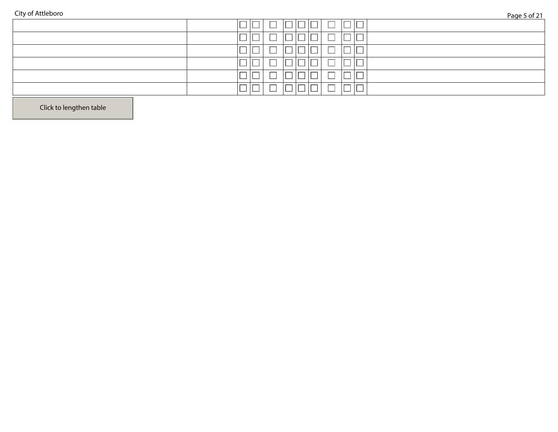| $\overline{\phantom{a}}$<br>سالسا                    | —                               |    | $\overline{\phantom{0}}$<br>______       | $\Box$                           | __ | —<br>$-$                             |  |
|------------------------------------------------------|---------------------------------|----|------------------------------------------|----------------------------------|----|--------------------------------------|--|
| 一                                                    | $\overline{\phantom{0}}$<br>$-$ | __ | $\overline{\phantom{a}}$                 | $\overline{\phantom{a}}$         | 一  | $\overline{\phantom{a}}$             |  |
| $\Box$<br>一                                          | __                              |    | $\overline{\phantom{a}}$<br>المسال المسا | $\overline{\phantom{a}}$         |    | $\overline{\phantom{0}}$<br>一        |  |
| $\overline{\phantom{a}}$<br>$\overline{\phantom{0}}$ | –<br>一                          |    |                                          |                                  |    | $\overline{\phantom{0}}$             |  |
|                                                      | __<br>一                         | __ | $\overline{\phantom{0}}$                 | $\overline{\phantom{a}}$         | 一  | $\overline{\phantom{a}}$<br>__       |  |
| $\Box$<br>السال السال                                | $\overline{\phantom{0}}$<br>__  |    | $\overline{\phantom{a}}$                 | $\overline{\phantom{a}}$<br>، با |    | $\overline{\phantom{0}}$<br>لط الط ا |  |

Click to lengthen table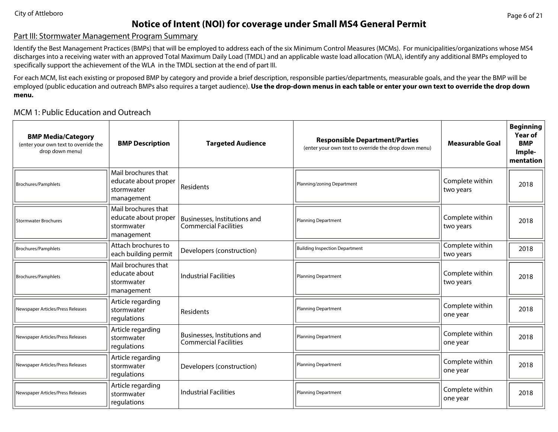### Part III: Stormwater Management Program Summary

Identify the Best Management Practices (BMPs) that will be employed to address each of the six Minimum Control Measures (MCMs). For municipalities/organizations whose MS4 discharges into a receiving water with an approved Total Maximum Daily Load (TMDL) and an applicable waste load allocation (WLA), identify any additional BMPs employed to specifically support the achievement of the WLA in the TMDL section at the end of part III.

For each MCM, list each existing or proposed BMP by category and provide a brief description, responsible parties/departments, measurable goals, and the year the BMP will be employed (public education and outreach BMPs also requires a target audience). Use the drop-down menus in each table or enter your own text to override the drop down **menu.**

### MCM 1: Public Education and Outreach

| <b>BMP Media/Category</b><br>(enter your own text to override the<br>drop down menu) | <b>BMP Description</b>                                                  | <b>Targeted Audience</b>                                     | <b>Responsible Department/Parties</b><br>(enter your own text to override the drop down menu) | <b>Measurable Goal</b>       | <b>Beginning</b><br><b>Year of</b><br><b>BMP</b><br>Imple-<br>mentation |
|--------------------------------------------------------------------------------------|-------------------------------------------------------------------------|--------------------------------------------------------------|-----------------------------------------------------------------------------------------------|------------------------------|-------------------------------------------------------------------------|
| <b>Brochures/Pamphlets</b>                                                           | Mail brochures that<br>educate about proper<br>stormwater<br>management | Residents                                                    | Planning/zoning Department                                                                    | Complete within<br>two years | 2018                                                                    |
| <b>Stormwater Brochures</b>                                                          | Mail brochures that<br>educate about proper<br>stormwater<br>management | Businesses, Institutions and<br><b>Commercial Facilities</b> | Planning Department                                                                           | Complete within<br>two years | 2018                                                                    |
| Brochures/Pamphlets                                                                  | Attach brochures to<br>each building permit                             | Developers (construction)                                    | <b>Building Inspection Department</b>                                                         | Complete within<br>two years | 2018                                                                    |
| <b>Brochures/Pamphlets</b>                                                           | Mail brochures that<br>educate about<br>stormwater<br>management        | <b>Industrial Facilities</b>                                 | Planning Department                                                                           | Complete within<br>two years | 2018                                                                    |
| Newspaper Articles/Press Releases                                                    | Article regarding<br>stormwater<br>regulations                          | Residents                                                    | Planning Department                                                                           | Complete within<br>one year  | 2018                                                                    |
| Newspaper Articles/Press Releases                                                    | Article regarding<br>stormwater<br>regulations                          | Businesses, Institutions and<br><b>Commercial Facilities</b> | Planning Department                                                                           | Complete within<br>one year  | 2018                                                                    |
| Newspaper Articles/Press Releases                                                    | Article regarding<br>stormwater<br>regulations                          | Developers (construction)                                    | Planning Department                                                                           | Complete within<br>one year  | 2018                                                                    |
| Newspaper Articles/Press Releases                                                    | Article regarding<br>stormwater<br>regulations                          | <b>Industrial Facilities</b>                                 | Planning Department                                                                           | Complete within<br>one year  | 2018                                                                    |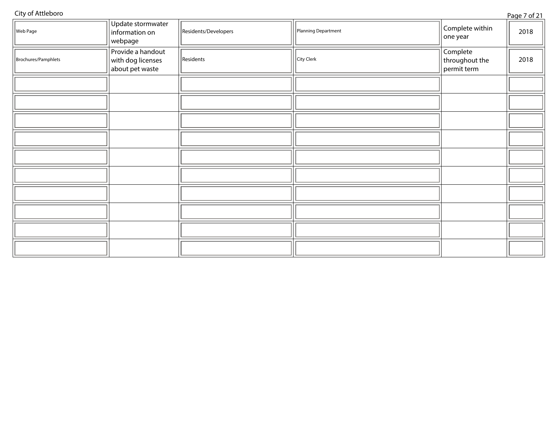| City of Attleboro   |                                                           |                      |                     |                                           | Page 7 of 21 |
|---------------------|-----------------------------------------------------------|----------------------|---------------------|-------------------------------------------|--------------|
| Web Page            | Update stormwater<br>information on<br>webpage            | Residents/Developers | Planning Department | Complete within<br>one year               | 2018         |
| Brochures/Pamphlets | Provide a handout<br>with dog licenses<br>about pet waste | Residents            | City Clerk          | Complete<br>throughout the<br>permit term | 2018         |
|                     |                                                           |                      |                     |                                           |              |
|                     |                                                           |                      |                     |                                           |              |
|                     |                                                           |                      |                     |                                           |              |
|                     |                                                           |                      |                     |                                           |              |
|                     |                                                           |                      |                     |                                           |              |
|                     |                                                           |                      |                     |                                           |              |
|                     |                                                           |                      |                     |                                           |              |
|                     |                                                           |                      |                     |                                           |              |
|                     |                                                           |                      |                     |                                           |              |
|                     |                                                           |                      |                     |                                           |              |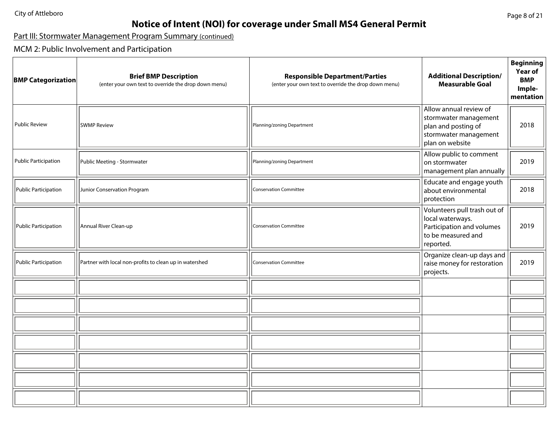Part III: Stormwater Management Program Summary (continued)

MCM 2: Public Involvement and Participation

| <b>BMP Categorization</b>   | <b>Brief BMP Description</b><br>(enter your own text to override the drop down menu) | <b>Responsible Department/Parties</b><br>(enter your own text to override the drop down menu) | <b>Additional Description/</b><br><b>Measurable Goal</b>                                                           | <b>Beginning</b><br><b>Year of</b><br><b>BMP</b><br>Imple-<br>mentation |
|-----------------------------|--------------------------------------------------------------------------------------|-----------------------------------------------------------------------------------------------|--------------------------------------------------------------------------------------------------------------------|-------------------------------------------------------------------------|
| <b>Public Review</b>        | <b>SWMP Review</b>                                                                   | Planning/zoning Department                                                                    | Allow annual review of<br>stormwater management<br>plan and posting of<br>stormwater management<br>plan on website | 2018                                                                    |
| <b>Public Participation</b> | Public Meeting - Stormwater                                                          | Planning/zoning Department                                                                    | Allow public to comment<br>on stormwater<br>management plan annually                                               | 2019                                                                    |
| Public Participation        | Junior Conservation Program                                                          | <b>Conservation Committee</b>                                                                 | Educate and engage youth<br>about environmental<br>protection                                                      | 2018                                                                    |
| Public Participation        | Annual River Clean-up                                                                | <b>Conservation Committee</b>                                                                 | Volunteers pull trash out of<br>local waterways.<br>Participation and volumes<br>to be measured and<br>reported.   | 2019                                                                    |
| Public Participation        | Partner with local non-profits to clean up in watershed                              | <b>Conservation Committee</b>                                                                 | Organize clean-up days and<br>raise money for restoration<br>projects.                                             | 2019                                                                    |
|                             |                                                                                      |                                                                                               |                                                                                                                    |                                                                         |
|                             |                                                                                      |                                                                                               |                                                                                                                    |                                                                         |
|                             |                                                                                      |                                                                                               |                                                                                                                    |                                                                         |
|                             |                                                                                      |                                                                                               |                                                                                                                    |                                                                         |
|                             |                                                                                      |                                                                                               |                                                                                                                    |                                                                         |
|                             |                                                                                      |                                                                                               |                                                                                                                    |                                                                         |
|                             |                                                                                      |                                                                                               |                                                                                                                    |                                                                         |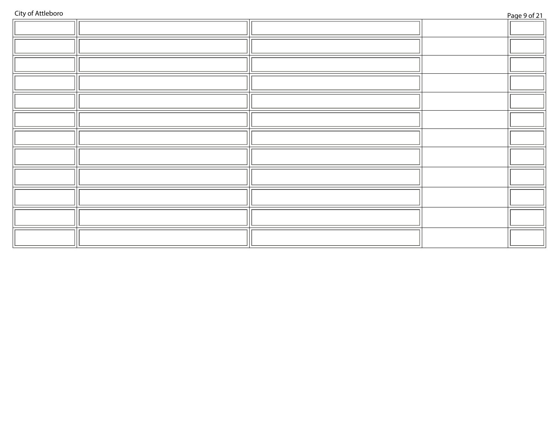| City of Attleboro |  | Page 9 of 21 |
|-------------------|--|--------------|
|                   |  |              |
|                   |  |              |
|                   |  |              |
|                   |  |              |
|                   |  |              |
|                   |  |              |
|                   |  |              |
|                   |  |              |
|                   |  |              |
|                   |  |              |
|                   |  |              |
|                   |  |              |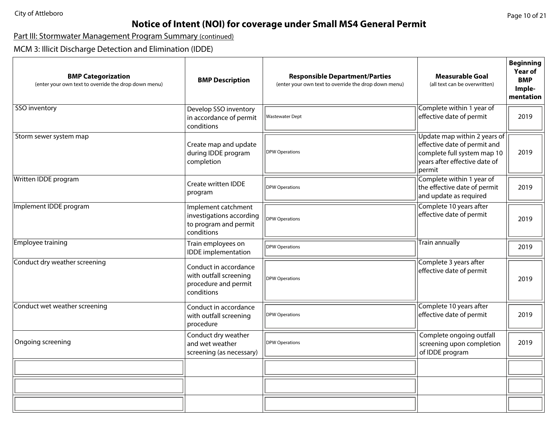### Part III: Stormwater Management Program Summary (continued)

MCM 3: Illicit Discharge Detection and Elimination (IDDE)

| <b>BMP Categorization</b><br>(enter your own text to override the drop down menu) | <b>BMP Description</b>                                                                 | <b>Responsible Department/Parties</b><br>(enter your own text to override the drop down menu) | <b>Measurable Goal</b><br>(all text can be overwritten)                                                                                | <b>Beginning</b><br><b>Year of</b><br><b>BMP</b><br>Imple-<br>mentation |
|-----------------------------------------------------------------------------------|----------------------------------------------------------------------------------------|-----------------------------------------------------------------------------------------------|----------------------------------------------------------------------------------------------------------------------------------------|-------------------------------------------------------------------------|
| SSO inventory                                                                     | Develop SSO inventory<br>in accordance of permit<br>conditions                         | <b>Wastewater Dept</b>                                                                        | Complete within 1 year of<br>effective date of permit                                                                                  | 2019                                                                    |
| Storm sewer system map                                                            | Create map and update<br>during IDDE program<br>completion                             | <b>DPW Operations</b>                                                                         | Update map within 2 years of<br>effective date of permit and<br>complete full system map 10<br>years after effective date of<br>permit | 2019                                                                    |
| Written IDDE program                                                              | Create written IDDE<br>program                                                         | <b>DPW Operations</b>                                                                         | Complete within 1 year of<br>the effective date of permit<br>and update as required                                                    | 2019                                                                    |
| Implement IDDE program                                                            | Implement catchment<br>investigations according<br>to program and permit<br>conditions | <b>DPW Operations</b>                                                                         | Complete 10 years after<br>effective date of permit                                                                                    | 2019                                                                    |
| Employee training                                                                 | Train employees on<br><b>IDDE</b> implementation                                       | <b>DPW Operations</b>                                                                         | <b>Train annually</b>                                                                                                                  | 2019                                                                    |
| Conduct dry weather screening                                                     | Conduct in accordance<br>with outfall screening<br>procedure and permit<br>conditions  | <b>DPW Operations</b>                                                                         | Complete 3 years after<br>effective date of permit                                                                                     | 2019                                                                    |
| Conduct wet weather screening                                                     | Conduct in accordance<br>with outfall screening<br>procedure                           | <b>DPW Operations</b>                                                                         | Complete 10 years after<br>effective date of permit                                                                                    | 2019                                                                    |
| Ongoing screening                                                                 | Conduct dry weather<br>and wet weather<br>screening (as necessary)                     | <b>DPW Operations</b>                                                                         | Complete ongoing outfall<br>screening upon completion<br>of IDDE program                                                               | 2019                                                                    |
|                                                                                   |                                                                                        |                                                                                               |                                                                                                                                        |                                                                         |
|                                                                                   |                                                                                        |                                                                                               |                                                                                                                                        |                                                                         |
|                                                                                   |                                                                                        |                                                                                               |                                                                                                                                        |                                                                         |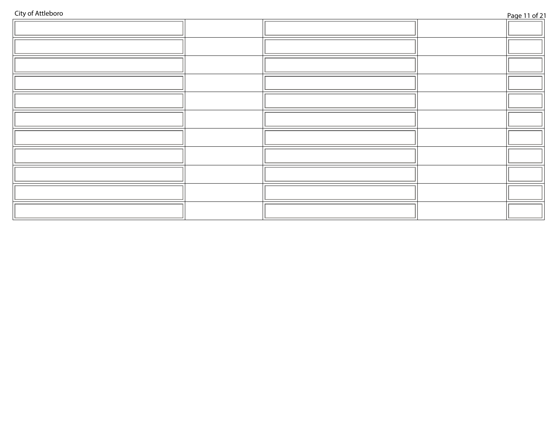Page 11 of 21 City of Attleboro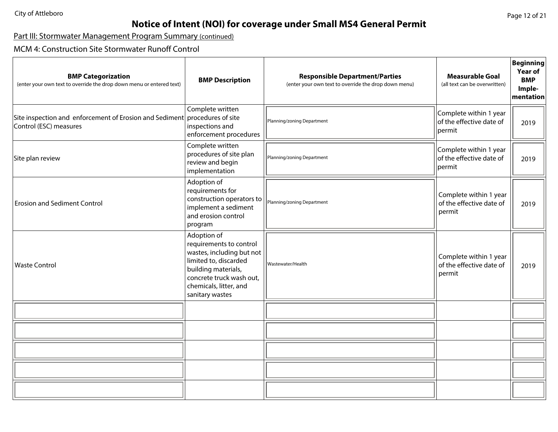### Page 12 of 21 City of Attleboro **Notice of Intent (NOI) for coverage under Small MS4 General Permit**

## Part III: Stormwater Management Program Summary (continued)

# MCM 4: Construction Site Stormwater Runoff Control

| <b>BMP Categorization</b><br>(enter your own text to override the drop down menu or entered text)    | <b>BMP Description</b>                                                                                                                                                                       | <b>Responsible Department/Parties</b><br>(enter your own text to override the drop down menu) | <b>Measurable Goal</b><br>(all text can be overwritten)      | <b>Beginning</b><br><b>Year of</b><br><b>BMP</b><br>Imple-<br>mentation |
|------------------------------------------------------------------------------------------------------|----------------------------------------------------------------------------------------------------------------------------------------------------------------------------------------------|-----------------------------------------------------------------------------------------------|--------------------------------------------------------------|-------------------------------------------------------------------------|
| Site inspection and enforcement of Erosion and Sediment procedures of site<br>Control (ESC) measures | Complete written<br>inspections and<br>enforcement procedures                                                                                                                                | Planning/zoning Department                                                                    | Complete within 1 year<br>of the effective date of<br>permit | 2019                                                                    |
| Site plan review                                                                                     | Complete written<br>procedures of site plan<br>review and begin<br>implementation                                                                                                            | Planning/zoning Department                                                                    | Complete within 1 year<br>of the effective date of<br>permit | 2019                                                                    |
| <b>Erosion and Sediment Control</b>                                                                  | Adoption of<br>requirements for<br>construction operators to<br>implement a sediment<br>and erosion control<br>program                                                                       | Planning/zoning Department                                                                    | Complete within 1 year<br>of the effective date of<br>permit | 2019                                                                    |
| <b>Waste Control</b>                                                                                 | Adoption of<br>requirements to control<br>wastes, including but not<br>limited to, discarded<br>building materials,<br>concrete truck wash out,<br>chemicals, litter, and<br>sanitary wastes | Wastewater/Health                                                                             | Complete within 1 year<br>of the effective date of<br>permit | 2019                                                                    |
|                                                                                                      |                                                                                                                                                                                              |                                                                                               |                                                              |                                                                         |
|                                                                                                      |                                                                                                                                                                                              |                                                                                               |                                                              |                                                                         |
|                                                                                                      |                                                                                                                                                                                              |                                                                                               |                                                              |                                                                         |
|                                                                                                      |                                                                                                                                                                                              |                                                                                               |                                                              |                                                                         |
|                                                                                                      |                                                                                                                                                                                              |                                                                                               |                                                              |                                                                         |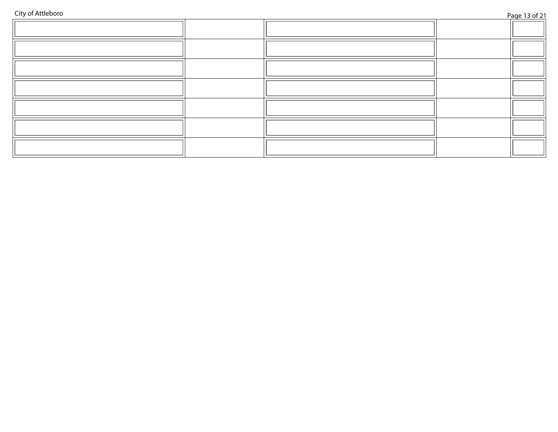| City of Attleboro |  | Page 13 of 21 |
|-------------------|--|---------------|
|                   |  |               |
|                   |  |               |
|                   |  |               |
|                   |  |               |
|                   |  |               |
|                   |  |               |
|                   |  |               |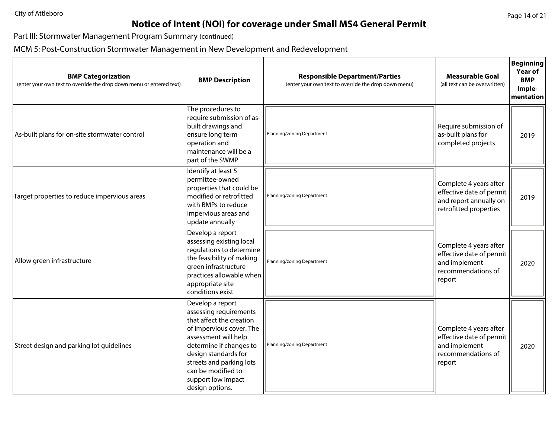### Page 14 of 21 City of Attleboro **Notice of Intent (NOI) for coverage under Small MS4 General Permit**

Part III: Stormwater Management Program Summary (continued)

MCM 5: Post-Construction Stormwater Management in New Development and Redevelopment

| <b>BMP Categorization</b><br>(enter your own text to override the drop down menu or entered text) | <b>BMP Description</b>                                                                                                                                                                                                                                                   | <b>Responsible Department/Parties</b><br>(enter your own text to override the drop down menu) | <b>Measurable Goal</b><br>(all text can be overwritten)                                                | <b>Beginning</b><br><b>Year of</b><br><b>BMP</b><br>Imple-<br>mentation |
|---------------------------------------------------------------------------------------------------|--------------------------------------------------------------------------------------------------------------------------------------------------------------------------------------------------------------------------------------------------------------------------|-----------------------------------------------------------------------------------------------|--------------------------------------------------------------------------------------------------------|-------------------------------------------------------------------------|
| As-built plans for on-site stormwater control                                                     | The procedures to<br>require submission of as-<br>built drawings and<br>ensure long term<br>operation and<br>maintenance will be a<br>part of the SWMP                                                                                                                   | Planning/zoning Department                                                                    | Require submission of<br>as-built plans for<br>completed projects                                      | 2019                                                                    |
| Target properties to reduce impervious areas                                                      | Identify at least 5<br>permittee-owned<br>properties that could be<br>modified or retrofitted<br>with BMPs to reduce<br>impervious areas and<br>update annually                                                                                                          | Planning/zoning Department                                                                    | Complete 4 years after<br>effective date of permit<br>and report annually on<br>retrofitted properties | 2019                                                                    |
| Allow green infrastructure                                                                        | Develop a report<br>assessing existing local<br>regulations to determine<br>the feasibility of making<br>green infrastructure<br>practices allowable when<br>appropriate site<br>conditions exist                                                                        | Planning/zoning Department                                                                    | Complete 4 years after<br>effective date of permit<br>and implement<br>recommendations of<br>report    | 2020                                                                    |
| Street design and parking lot guidelines                                                          | Develop a report<br>assessing requirements<br>that affect the creation<br>of impervious cover. The<br>assessment will help<br>determine if changes to<br>design standards for<br>streets and parking lots<br>can be modified to<br>support low impact<br>design options. | Planning/zoning Department                                                                    | Complete 4 years after<br>effective date of permit<br>and implement<br>recommendations of<br>report    | 2020                                                                    |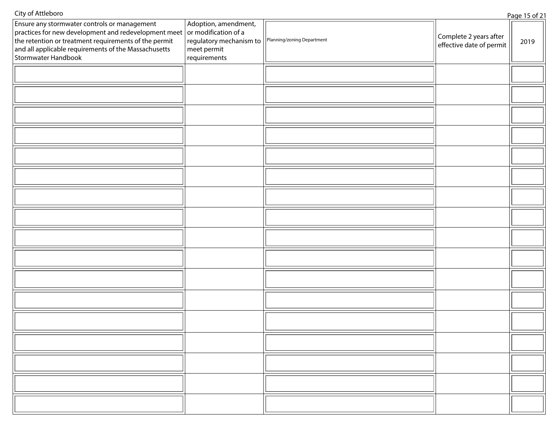| City of Attleboro                                                                                                                                                                                                                            |                                                                                                                                      |                                                    | Page 15 of 21 |
|----------------------------------------------------------------------------------------------------------------------------------------------------------------------------------------------------------------------------------------------|--------------------------------------------------------------------------------------------------------------------------------------|----------------------------------------------------|---------------|
| Ensure any stormwater controls or management<br>practices for new development and redevelopment meet<br>the retention or treatment requirements of the permit<br>and all applicable requirements of the Massachusetts<br>Stormwater Handbook | Adoption, amendment,<br>or modification of a<br>regulatory mechanism to    Planning/zoning Department<br>meet permit<br>requirements | Complete 2 years after<br>effective date of permit | 2019          |
|                                                                                                                                                                                                                                              |                                                                                                                                      |                                                    |               |
|                                                                                                                                                                                                                                              |                                                                                                                                      |                                                    |               |
|                                                                                                                                                                                                                                              |                                                                                                                                      |                                                    |               |
|                                                                                                                                                                                                                                              |                                                                                                                                      |                                                    |               |
|                                                                                                                                                                                                                                              |                                                                                                                                      |                                                    |               |
|                                                                                                                                                                                                                                              |                                                                                                                                      |                                                    |               |
|                                                                                                                                                                                                                                              |                                                                                                                                      |                                                    |               |
|                                                                                                                                                                                                                                              |                                                                                                                                      |                                                    |               |
|                                                                                                                                                                                                                                              |                                                                                                                                      |                                                    |               |
|                                                                                                                                                                                                                                              |                                                                                                                                      |                                                    |               |
|                                                                                                                                                                                                                                              |                                                                                                                                      |                                                    |               |
|                                                                                                                                                                                                                                              |                                                                                                                                      |                                                    |               |
|                                                                                                                                                                                                                                              |                                                                                                                                      |                                                    |               |
|                                                                                                                                                                                                                                              |                                                                                                                                      |                                                    |               |
|                                                                                                                                                                                                                                              |                                                                                                                                      |                                                    |               |
|                                                                                                                                                                                                                                              |                                                                                                                                      |                                                    |               |
|                                                                                                                                                                                                                                              |                                                                                                                                      |                                                    |               |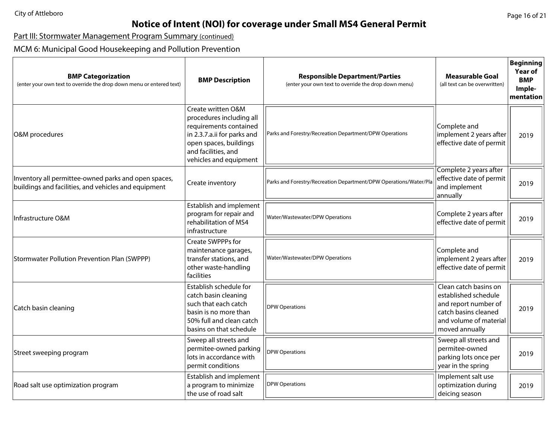Part III: Stormwater Management Program Summary (continued)

MCM 6: Municipal Good Housekeeping and Pollution Prevention

| <b>BMP Categorization</b><br>(enter your own text to override the drop down menu or entered text)            | <b>BMP Description</b>                                                                                                                                                             | <b>Responsible Department/Parties</b><br>(enter your own text to override the drop down menu) | <b>Measurable Goal</b><br>(all text can be overwritten)                                                                                   | <b>Beginning</b><br><b>Year of</b><br><b>BMP</b><br>Imple-<br>mentation |
|--------------------------------------------------------------------------------------------------------------|------------------------------------------------------------------------------------------------------------------------------------------------------------------------------------|-----------------------------------------------------------------------------------------------|-------------------------------------------------------------------------------------------------------------------------------------------|-------------------------------------------------------------------------|
| O&M procedures                                                                                               | Create written O&M<br>procedures including all<br>requirements contained<br>in 2.3.7.a.ii for parks and<br>open spaces, buildings<br>and facilities, and<br>vehicles and equipment | Parks and Forestry/Recreation Department/DPW Operations                                       | Complete and<br>implement 2 years after<br>effective date of permit                                                                       | 2019                                                                    |
| Inventory all permittee-owned parks and open spaces,<br>buildings and facilities, and vehicles and equipment | Create inventory                                                                                                                                                                   | Parks and Forestry/Recreation Department/DPW Operations/Water/Pla                             | Complete 2 years after<br>effective date of permit<br>and implement<br>annually                                                           | 2019                                                                    |
| Infrastructure O&M                                                                                           | Establish and implement<br>program for repair and<br>rehabilitation of MS4<br>infrastructure                                                                                       | Water/Wastewater/DPW Operations                                                               | Complete 2 years after<br>effective date of permit                                                                                        | 2019                                                                    |
| Stormwater Pollution Prevention Plan (SWPPP)                                                                 | Create SWPPPs for<br>maintenance garages,<br>transfer stations, and<br>other waste-handling<br>facilities                                                                          | Water/Wastewater/DPW Operations                                                               | Complete and<br>implement 2 years after<br>effective date of permit                                                                       | 2019                                                                    |
| Catch basin cleaning                                                                                         | Establish schedule for<br>catch basin cleaning<br>such that each catch<br>basin is no more than<br>50% full and clean catch<br>basins on that schedule                             | <b>DPW Operations</b>                                                                         | Clean catch basins on<br>established schedule<br>and report number of<br>catch basins cleaned<br>and volume of material<br>moved annually | 2019                                                                    |
| Street sweeping program                                                                                      | Sweep all streets and<br>permitee-owned parking<br>lots in accordance with<br>permit conditions                                                                                    | <b>DPW Operations</b>                                                                         | Sweep all streets and<br>permitee-owned<br>parking lots once per<br>year in the spring                                                    | 2019                                                                    |
| Road salt use optimization program                                                                           | Establish and implement<br>a program to minimize<br>the use of road salt                                                                                                           | <b>DPW Operations</b>                                                                         | Implement salt use<br>optimization during<br>deicing season                                                                               | 2019                                                                    |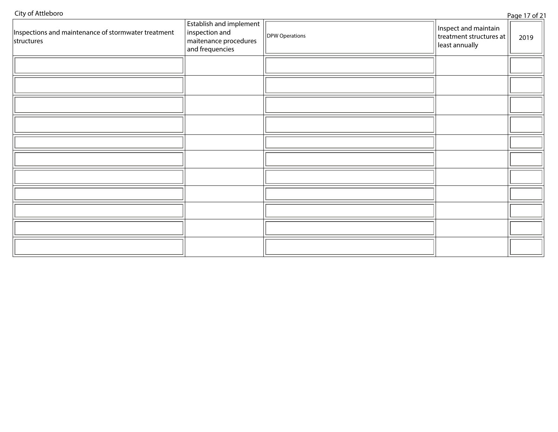| ane | I / | ΩТ |  |
|-----|-----|----|--|
|-----|-----|----|--|

| City of Attleboro                                                 |                                                                                       |                       |                                                                   | Page 17 of 21 |
|-------------------------------------------------------------------|---------------------------------------------------------------------------------------|-----------------------|-------------------------------------------------------------------|---------------|
| Inspections and maintenance of stormwater treatment<br>structures | Establish and implement<br>inspection and<br>maitenance procedures<br>and frequencies | <b>DPW Operations</b> | Inspect and maintain<br>treatment structures at<br>least annually | 2019          |
|                                                                   |                                                                                       |                       |                                                                   |               |
|                                                                   |                                                                                       |                       |                                                                   |               |
|                                                                   |                                                                                       |                       |                                                                   |               |
|                                                                   |                                                                                       |                       |                                                                   |               |
|                                                                   |                                                                                       |                       |                                                                   |               |
|                                                                   |                                                                                       |                       |                                                                   |               |
|                                                                   |                                                                                       |                       |                                                                   |               |
|                                                                   |                                                                                       |                       |                                                                   |               |
|                                                                   |                                                                                       |                       |                                                                   |               |
|                                                                   |                                                                                       |                       |                                                                   |               |
|                                                                   |                                                                                       |                       |                                                                   |               |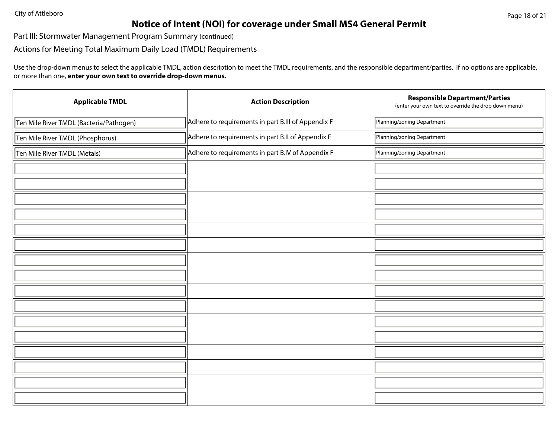Part III: Stormwater Management Program Summary (continued)

Actions for Meeting Total Maximum Daily Load (TMDL) Requirements

Use the drop-down menus to select the applicable TMDL, action description to meet the TMDL requirements, and the responsible department/parties. If no options are applicable, or more than one, **enter your own text to override drop-down menus.**

| <b>Applicable TMDL</b>                  | <b>Action Description</b>                          | <b>Responsible Department/Parties</b><br>(enter your own text to override the drop down menu) |
|-----------------------------------------|----------------------------------------------------|-----------------------------------------------------------------------------------------------|
| Ten Mile River TMDL (Bacteria/Pathogen) | Adhere to requirements in part B.III of Appendix F | Planning/zoning Department                                                                    |
| Ten Mile River TMDL (Phosphorus)        | Adhere to requirements in part B.II of Appendix F  | Planning/zoning Department                                                                    |
| Ten Mile River TMDL (Metals)            | Adhere to requirements in part B.IV of Appendix F  | Planning/zoning Department                                                                    |
|                                         |                                                    |                                                                                               |
|                                         |                                                    |                                                                                               |
|                                         |                                                    |                                                                                               |
|                                         |                                                    |                                                                                               |
|                                         |                                                    |                                                                                               |
|                                         |                                                    |                                                                                               |
|                                         |                                                    |                                                                                               |
|                                         |                                                    |                                                                                               |
|                                         |                                                    |                                                                                               |
|                                         |                                                    |                                                                                               |
|                                         |                                                    |                                                                                               |
|                                         |                                                    |                                                                                               |
|                                         |                                                    |                                                                                               |
|                                         |                                                    |                                                                                               |
|                                         |                                                    |                                                                                               |
|                                         |                                                    |                                                                                               |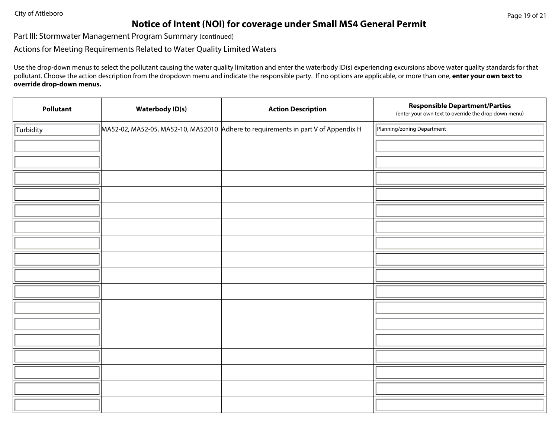# Page 19 of 21 City of Attleboro

## **Notice of Intent (NOI) for coverage under Small MS4 General Permit**

### Part III: Stormwater Management Program Summary (continued)

### Actions for Meeting Requirements Related to Water Quality Limited Waters

Use the drop-down menus to select the pollutant causing the water quality limitation and enter the waterbody ID(s) experiencing excursions above water quality standards for that pollutant. Choose the action description from the dropdown menu and indicate the responsible party. If no options are applicable, or more than one, **enter your own text to override drop-down menus.**

| <b>Pollutant</b> | <b>Waterbody ID(s)</b> | <b>Action Description</b>                                                         | <b>Responsible Department/Parties</b><br>(enter your own text to override the drop down menu) |
|------------------|------------------------|-----------------------------------------------------------------------------------|-----------------------------------------------------------------------------------------------|
| Turbidity        |                        | MA52-02, MA52-05, MA52-10, MA52010 Adhere to requirements in part V of Appendix H | Planning/zoning Department                                                                    |
|                  |                        |                                                                                   |                                                                                               |
|                  |                        |                                                                                   |                                                                                               |
|                  |                        |                                                                                   |                                                                                               |
|                  |                        |                                                                                   |                                                                                               |
|                  |                        |                                                                                   |                                                                                               |
|                  |                        |                                                                                   |                                                                                               |
|                  |                        |                                                                                   |                                                                                               |
|                  |                        |                                                                                   |                                                                                               |
|                  |                        |                                                                                   |                                                                                               |
|                  |                        |                                                                                   |                                                                                               |
|                  |                        |                                                                                   |                                                                                               |
|                  |                        |                                                                                   |                                                                                               |
|                  |                        |                                                                                   |                                                                                               |
|                  |                        |                                                                                   |                                                                                               |
|                  |                        |                                                                                   |                                                                                               |
|                  |                        |                                                                                   |                                                                                               |
|                  |                        |                                                                                   |                                                                                               |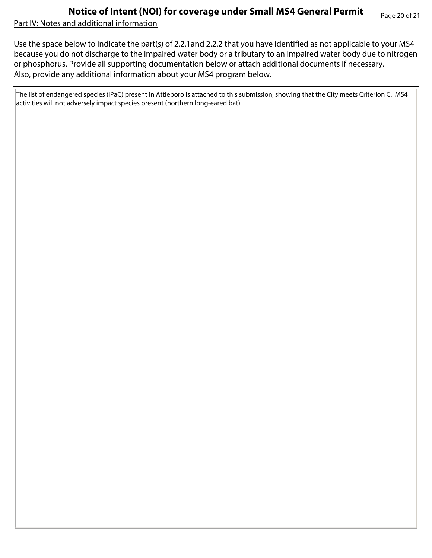Part IV: Notes and additional information

Use the space below to indicate the part(s) of 2.2.1and 2.2.2 that you have identified as not applicable to your MS4 because you do not discharge to the impaired water body or a tributary to an impaired water body due to nitrogen or phosphorus. Provide all supporting documentation below or attach additional documents if necessary. Also, provide any additional information about your MS4 program below.

The list of endangered species (IPaC) present in Attleboro is attached to this submission, showing that the City meets Criterion C. MS4 activities will not adversely impact species present (northern long-eared bat).